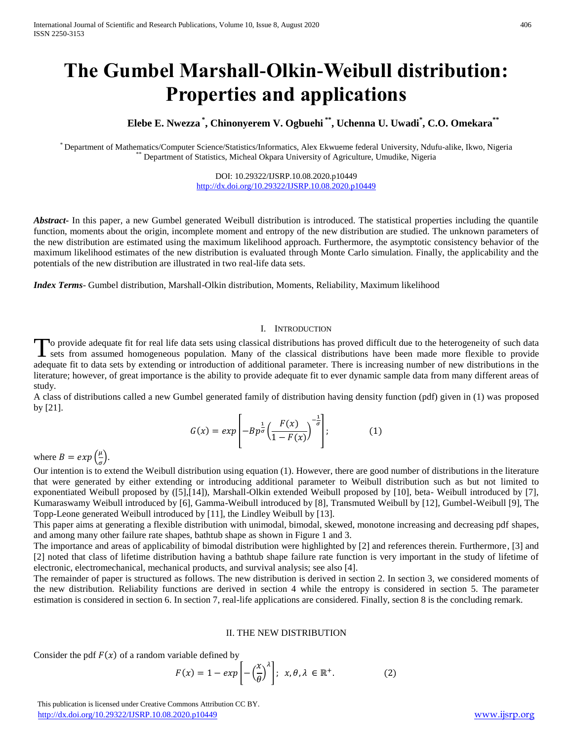# **The Gumbel Marshall-Olkin-Weibull distribution: Properties and applications**

**Elebe E. Nwezza \* , Chinonyerem V. Ogbuehi \*\*, Uchenna U. Uwadi\* , C.O. Omekara\*\***

\* Department of Mathematics/Computer Science/Statistics/Informatics, Alex Ekwueme federal University, Ndufu-alike, Ikwo, Nigeria Department of Statistics, Micheal Okpara University of Agriculture, Umudike, Nigeria

> DOI: 10.29322/IJSRP.10.08.2020.p10449 <http://dx.doi.org/10.29322/IJSRP.10.08.2020.p10449>

Abstract<sub>ribut</sub> In this paper, a new Gumbel generated Weibull distribution is introduced. The statistical properties including the quantile function, moments about the origin, incomplete moment and entropy of the new distribution are studied. The unknown parameters of the new distribution are estimated using the maximum likelihood approach. Furthermore, the asymptotic consistency behavior of the maximum likelihood estimates of the new distribution is evaluated through Monte Carlo simulation. Finally, the applicability and the potentials of the new distribution are illustrated in two real-life data sets.

*Index Terms*- Gumbel distribution, Marshall-Olkin distribution, Moments, Reliability, Maximum likelihood

#### I. INTRODUCTION

To provide adequate fit for real life data sets using classical distributions has proved difficult due to the heterogeneity of such data To provide adequate fit for real life data sets using classical distributions has proved difficult due to the heterogeneity of such data sets from assumed homogeneous population. Many of the classical distributions have be adequate fit to data sets by extending or introduction of additional parameter. There is increasing number of new distributions in the literature; however, of great importance is the ability to provide adequate fit to ever dynamic sample data from many different areas of study.

A class of distributions called a new Gumbel generated family of distribution having density function (pdf) given in (1) was proposed by [21].

$$
G(x) = exp\left[-Bp^{\frac{1}{\sigma}}\left(\frac{F(x)}{1 - F(x)}\right)^{-\frac{1}{\sigma}}\right];
$$
 (1)

where  $B = exp(\frac{\mu}{2})$  $\frac{\mu}{\sigma}$ ).

Our intention is to extend the Weibull distribution using equation (1). However, there are good number of distributions in the literature that were generated by either extending or introducing additional parameter to Weibull distribution such as but not limited to exponentiated Weibull proposed by ([5],[14]), Marshall-Olkin extended Weibull proposed by [10], beta- Weibull introduced by [7], Kumaraswamy Weibull introduced by [6], Gamma-Weibull introduced by [8], Transmuted Weibull by [12], Gumbel-Weibull [9], The Topp-Leone generated Weibull introduced by [11], the Lindley Weibull by [13].

This paper aims at generating a flexible distribution with unimodal, bimodal, skewed, monotone increasing and decreasing pdf shapes, and among many other failure rate shapes, bathtub shape as shown in Figure 1 and 3.

The importance and areas of applicability of bimodal distribution were highlighted by [2] and references therein. Furthermore, [3] and [2] noted that class of lifetime distribution having a bathtub shape failure rate function is very important in the study of lifetime of electronic, electromechanical, mechanical products, and survival analysis; see also [4].

The remainder of paper is structured as follows. The new distribution is derived in section 2. In section 3, we considered moments of the new distribution. Reliability functions are derived in section 4 while the entropy is considered in section 5. The parameter estimation is considered in section 6. In section 7, real-life applications are considered. Finally, section 8 is the concluding remark.

#### II. THE NEW DISTRIBUTION

Consider the pdf  $F(x)$  of a random variable defined by

$$
F(x) = 1 - exp\left[-\left(\frac{x}{\theta}\right)^{\lambda}\right]; \ x, \theta, \lambda \in \mathbb{R}^+.
$$
 (2)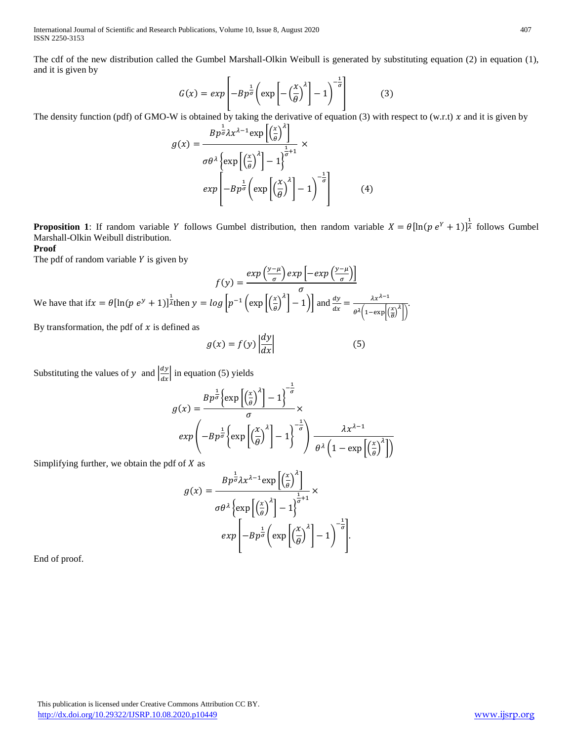The cdf of the new distribution called the Gumbel Marshall-Olkin Weibull is generated by substituting equation (2) in equation (1), and it is given by

$$
G(x) = exp\left[-Bp^{\frac{1}{\sigma}}\left(\exp\left[-\left(\frac{x}{\theta}\right)^{\lambda}\right]-1\right)^{-\frac{1}{\sigma}}\right]
$$
(3)

The density function (pdf) of GMO-W is obtained by taking the derivative of equation (3) with respect to (w.r.t)  $x$  and it is given by

$$
g(x) = \frac{B p^{\frac{1}{\sigma}} \lambda x^{\lambda - 1} \exp\left[\left(\frac{x}{\theta}\right)^{\lambda}\right]}{\sigma \theta^{\lambda} \left\{\exp\left[\left(\frac{x}{\theta}\right)^{\lambda}\right] - 1\right\}^{\frac{1}{\sigma} + 1}} \times
$$
  

$$
exp\left[-B p^{\frac{1}{\sigma}} \left(\exp\left[\left(\frac{x}{\theta}\right)^{\lambda}\right] - 1\right)^{-\frac{1}{\sigma}}\right]
$$
(4)

**Proposition 1**: If random variable Y follows Gumbel distribution, then random variable  $X = \theta [\ln(p e^Y + 1)]^{\frac{1}{\lambda}}$  follows Gumbel Marshall-Olkin Weibull distribution.

 $\sim$   $\sim$   $\sim$   $\sim$ 

#### **Proof**

The pdf of random variable  $Y$  is given by

$$
f(y) = \frac{\exp\left(\frac{y-\mu}{\sigma}\right)\exp\left[-\exp\left(\frac{y-\mu}{\sigma}\right)\right]}{\sigma}
$$
  
We have that if  $x = \theta[\ln(p \, e^y + 1)]^{\frac{1}{4}}$  then  $y = \log\left[p^{-1}\left(\exp\left[\left(\frac{x}{\theta}\right)^{\lambda}\right] - 1\right]\right]$  and  $\frac{dy}{dx} = \frac{\lambda x^{\lambda-1}}{\theta^{\lambda}\left(1 - \exp\left[\left(\frac{x}{\theta}\right)^{\lambda}\right]\right)}$ .

By transformation, the pdf of  $x$  is defined as

$$
g(x) = f(y) \left| \frac{dy}{dx} \right| \tag{5}
$$

Substituting the values of y and  $\left| \frac{dy}{dx} \right|$  in equation (5) yields

$$
g(x) = \frac{Bp^{\frac{1}{\sigma}}\left\{\exp\left[\left(\frac{x}{\theta}\right)^{\lambda}\right] - 1\right\}^{-\frac{1}{\sigma}}}{\sigma} \times
$$
  
 
$$
exp\left(-Bp^{\frac{1}{\sigma}}\left\{\exp\left[\left(\frac{x}{\theta}\right)^{\lambda}\right] - 1\right\}^{-\frac{1}{\sigma}}\right) \frac{\lambda x^{\lambda - 1}}{\theta^{\lambda}\left(1 - exp\left[\left(\frac{x}{\theta}\right)^{\lambda}\right]\right)}
$$

 $\overline{1}$ 

Simplifying further, we obtain the pdf of  $X$  as

$$
g(x) = \frac{B p^{\frac{1}{\sigma}} \lambda x^{\lambda - 1} \exp\left[\left(\frac{x}{\theta}\right)^{\lambda}\right]}{\sigma \theta^{\lambda} \left\{\exp\left[\left(\frac{x}{\theta}\right)^{\lambda}\right] - 1\right\}^{\frac{1}{\sigma} + 1}} \times
$$

$$
exp\left[-B p^{\frac{1}{\sigma}} \left(\exp\left[\left(\frac{x}{\theta}\right)^{\lambda}\right] - 1\right)^{-\frac{1}{\sigma}}\right].
$$

End of proof.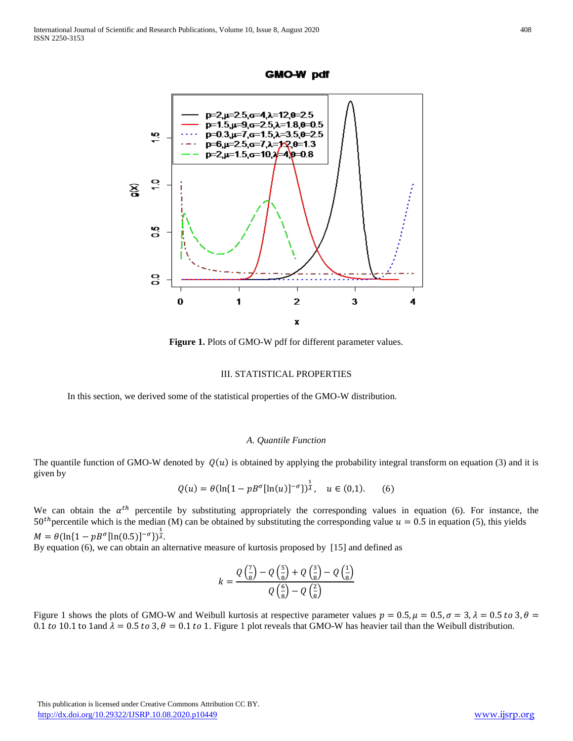

GMO-W pdf

Figure 1. Plots of GMO-W pdf for different parameter values.

#### III. STATISTICAL PROPERTIES

In this section, we derived some of the statistical properties of the GMO-W distribution.

#### *A. Quantile Function*

The quantile function of GMO-W denoted by  $Q(u)$  is obtained by applying the probability integral transform on equation (3) and it is given by

$$
Q(u) = \theta (\ln\{1 - pB^{\sigma}[\ln(u)]^{-\sigma}\})^{\frac{1}{\lambda}}, \quad u \in (0,1). \tag{6}
$$

We can obtain the  $\alpha^{th}$  percentile by substituting appropriately the corresponding values in equation (6). For instance, the  $50<sup>th</sup>$  percentile which is the median (M) can be obtained by substituting the corresponding value  $u = 0.5$  in equation (5), this yields  $M = \theta (\ln\{1 - pB^{\sigma}[\ln(0.5)]^{-\sigma}\})^{\frac{1}{\lambda}}.$ 

By equation (6), we can obtain an alternative measure of kurtosis proposed by [15] and defined as

$$
k = \frac{Q\left(\frac{7}{8}\right) - Q\left(\frac{5}{8}\right) + Q\left(\frac{3}{8}\right) - Q\left(\frac{1}{8}\right)}{Q\left(\frac{6}{8}\right) - Q\left(\frac{2}{8}\right)}
$$

Figure 1 shows the plots of GMO-W and Weibull kurtosis at respective parameter values  $p = 0.5$ ,  $\mu = 0.5$ ,  $\sigma = 3$ ,  $\lambda = 0.5$  to  $3$ ,  $\theta =$ 0.1 to 10.1 to 1 and  $\lambda = 0.5$  to 3,  $\theta = 0.1$  to 1. Figure 1 plot reveals that GMO-W has heavier tail than the Weibull distribution.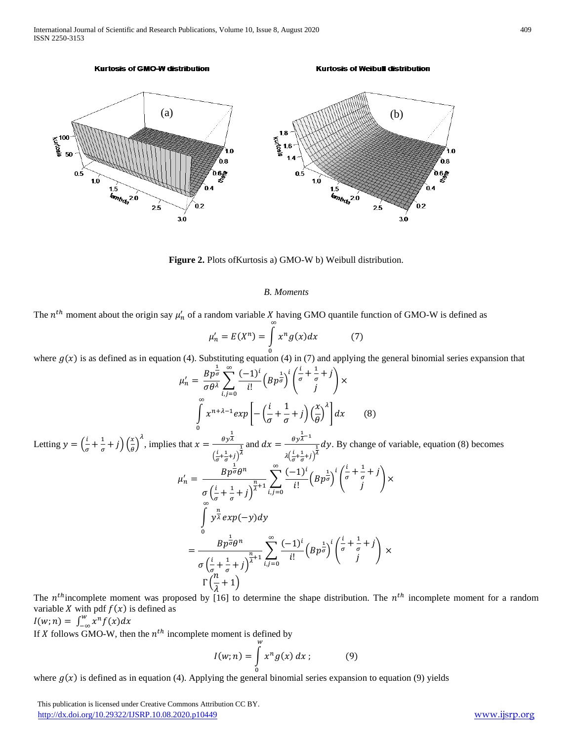

**Figure 2.** Plots ofKurtosis a) GMO-W b) Weibull distribution.

#### *B. Moments*

The  $n^{th}$  moment about the origin say  $\mu'_n$  of a random variable X having GMO quantile function of GMO-W is defined as

$$
\mu'_n = E(X^n) = \int_0^{\infty} x^n g(x) dx \tag{7}
$$

where  $g(x)$  is as defined as in equation (4). Substituting equation (4) in (7) and applying the general binomial series expansion that

$$
a = \frac{Bp^{\frac{1}{\sigma}}}{\sigma \theta^{\lambda}} \sum_{i,j=0}^{\infty} \frac{(-1)^{i}}{i!} \left( Bp^{\frac{1}{\sigma}} \right)^{i} \left( \frac{i}{\sigma} + \frac{1}{\sigma} + j \right) \times
$$

$$
\int_{0}^{\infty} x^{n+\lambda-1} exp \left[ -\left( \frac{i}{\sigma} + \frac{1}{\sigma} + j \right) \left( \frac{x}{\theta} \right)^{\lambda} \right] dx \qquad (8)
$$

Letting  $y = \left(\frac{i}{2}\right)$  $\frac{i}{\sigma} + \frac{1}{\sigma}$  $\frac{1}{\sigma} + j \bigg) \bigg( \frac{x}{\theta}$  $\left(\frac{x}{\theta}\right)^{\lambda}$ , implies that  $x = \frac{\theta y^{\frac{1}{\lambda}}}{\theta y^{\frac{1}{\lambda}}}$  $\left(\frac{i}{\sigma} + \frac{1}{\sigma} + j\right)$  $\frac{1}{\sqrt{2}}$  and  $dx = \frac{\theta y^{\frac{1}{\lambda}}}{\sqrt{2} \left(\frac{1}{2}\right)^{1/2}}$  $\lambda\left(\frac{i}{\sigma} + \frac{1}{\sigma} + j\right)$  $\frac{1}{\lambda}$  dy. By change of variable, equation (8) becomes  $\mathbf{1}$  $\infty$ 

$$
\mu'_{n} = \frac{Bp^{\frac{1}{\sigma}}\theta^{n}}{\sigma\left(\frac{i}{\sigma} + \frac{1}{\sigma} + j\right)^{\frac{n}{\lambda}+1}} \sum_{i,j=0}^{\infty} \frac{(-1)^{i}}{i!} \left(Bp^{\frac{1}{\sigma}}\right)^{i} \left(\frac{i}{\sigma} + \frac{1}{\sigma} + j\right) \times
$$

$$
\int_{0}^{\infty} y^{\frac{n}{\lambda}} exp(-y) dy
$$

$$
= \frac{Bp^{\frac{1}{\sigma}}\theta^{n}}{\sigma\left(\frac{i}{\sigma} + \frac{1}{\sigma} + j\right)^{\frac{n}{\lambda}+1}} \sum_{i,j=0}^{\infty} \frac{(-1)^{i}}{i!} \left(Bp^{\frac{1}{\sigma}}\right)^{i} \left(\frac{i}{\sigma} + \frac{1}{\sigma} + j\right) \times
$$

$$
\Gamma\left(\frac{n}{\lambda} + 1\right)
$$

The  $n<sup>th</sup>$  incomplete moment was proposed by [16] to determine the shape distribution. The  $n<sup>th</sup>$  incomplete moment for a random variable X with pdf  $f(x)$  is defined as

 $I(w; n) = \int_{-\infty}^{w} x^n f(x) dx$ <br>If X follows GMO-W, then the  $n^{th}$  incomplete moment is defined by

 $\mu'_i$ 

$$
I(w; n) = \int_{0}^{\infty} x^{n} g(x) dx
$$
 (9)

where  $g(x)$  is defined as in equation (4). Applying the general binomial series expansion to equation (9) yields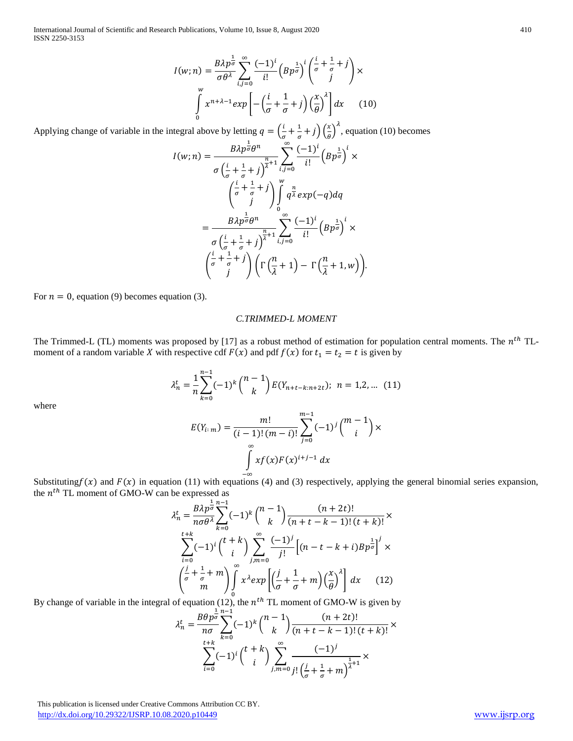International Journal of Scientific and Research Publications, Volume 10, Issue 8, August 2020 410 ISSN 2250-3153

$$
I(w;n) = \frac{B\lambda p^{\frac{1}{\sigma}}}{\sigma\theta^{\lambda}} \sum_{i,j=0}^{\infty} \frac{(-1)^i}{i!} \left(Bp^{\frac{1}{\sigma}}\right)^i \left(\frac{i}{\sigma} + \frac{1}{\sigma} + j\right) \times
$$

$$
\int_{0}^{w} x^{n+\lambda-1} exp\left[-\left(\frac{i}{\sigma} + \frac{1}{\sigma} + j\right)\left(\frac{x}{\theta}\right)^{\lambda}\right] dx \qquad (10)
$$

Applying change of variable in the integral above by letting  $q = \left(\frac{1}{2}\right)^{n}$  $\frac{i}{\sigma} + \frac{1}{\sigma}$  $(\frac{1}{\sigma}+j)(\frac{x}{\theta})$  $\left(\frac{x}{\theta}\right)^{\lambda}$ , equation (10) becomes

$$
I(w; n) = \frac{B\lambda p^{\frac{1}{\sigma}}\theta^{n}}{\sigma\left(\frac{i}{\sigma} + \frac{1}{\sigma} + j\right)^{\frac{n}{\lambda}+1}} \sum_{i,j=0}^{\infty} \frac{(-1)^{i}}{i!} \left(Bp^{\frac{1}{\sigma}}\right)^{i} \times \frac{\left(\frac{i}{\sigma} + \frac{1}{\sigma} + j\right)^{\frac{n}{\lambda}+1}}{\left(\frac{i}{\sigma} + \frac{1}{\sigma} + j\right)^{\frac{n}{\lambda}}\theta^{n}} \frac{\pi}{q^{\frac{n}{\lambda}}exp(-q)dq}
$$

$$
= \frac{B\lambda p^{\frac{1}{\sigma}}\theta^{n}}{\sigma\left(\frac{i}{\sigma} + \frac{1}{\sigma} + j\right)^{\frac{n}{\lambda}+1}} \sum_{i,j=0}^{\infty} \frac{(-1)^{i}}{i!} \left(Bp^{\frac{1}{\sigma}}\right)^{i} \times \frac{\left(\frac{i}{\sigma} + \frac{1}{\sigma} + j\right)^{\frac{n}{\lambda}+1}}{\left(\frac{i}{\sigma} + \frac{1}{\sigma} + j\right)} \left(\Gamma\left(\frac{n}{\lambda} + 1\right) - \Gamma\left(\frac{n}{\lambda} + 1, w\right)\right).
$$

For  $n = 0$ , equation (9) becomes equation (3).

### *C.TRIMMED-L MOMENT*

The Trimmed-L (TL) moments was proposed by [17] as a robust method of estimation for population central moments. The  $n^{th}$  TLmoment of a random variable X with respective cdf  $F(x)$  and pdf  $f(x)$  for  $t_1 = t_2 = t$  is given by

$$
\lambda_n^t = \frac{1}{n} \sum_{k=0}^{n-1} (-1)^k {n-1 \choose k} E(Y_{n+t-k:n+2t}); \ n = 1, 2, \dots \tag{11}
$$

where

$$
E(Y_{i:m}) = \frac{m!}{(i-1)!(m-i)!} \sum_{j=0}^{m-1} (-1)^j {m-1 \choose i} \times \int_{-\infty}^{\infty} x f(x) F(x)^{i+j-1} dx
$$

Substituting  $f(x)$  and  $F(x)$  in equation (11) with equations (4) and (3) respectively, applying the general binomial series expansion, the  $n^{th}$  TL moment of GMO-W can be expressed as

$$
\lambda_n^t = \frac{B\lambda p^{\frac{1}{\sigma}}}{n\sigma\theta^{\lambda}} \sum_{k=0}^{n-1} (-1)^k {n-1 \choose k} \frac{(n+2t)!}{(n+t-k-1)!(t+k)!} \times
$$
  

$$
\sum_{i=0}^{t+k} (-1)^i {t+k \choose i} \sum_{j,m=0}^{\infty} \frac{(-1)^j}{j!} \Big[ (n-t-k+i)Bp^{\frac{1}{\sigma}} \Big]^j \times
$$
  

$$
\left( \frac{j}{\sigma} + \frac{1}{\sigma} + m \right) \int_0^{\infty} x^{\lambda} exp\left[ \left( \frac{j}{\sigma} + \frac{1}{\sigma} + m \right) \left( \frac{x}{\theta} \right)^{\lambda} \right] dx \qquad (12)
$$

By change of variable in the integral of equation (12), the  $n^{th}$  TL moment of GMO-W is given by

$$
\lambda_n^t = \frac{B\theta p^{\frac{1}{\sigma}} \sum_{k=0}^{n-1} (-1)^k {n-1 \choose k} \frac{(n+2t)!}{(n+t-k-1)!(t+k)!} \times \\ \sum_{i=0}^{t+k} (-1)^i {t+k \choose i} \sum_{j,m=0}^{\infty} \frac{(-1)^j}{j! \left(\frac{j}{\sigma} + \frac{1}{\sigma} + m\right)^{\frac{1}{\sigma}+1}} \times
$$

 This publication is licensed under Creative Commons Attribution CC BY. http://dx.doi.org/10.29322/IJSRP.10.08.2020.p10449 www.ijsrp.org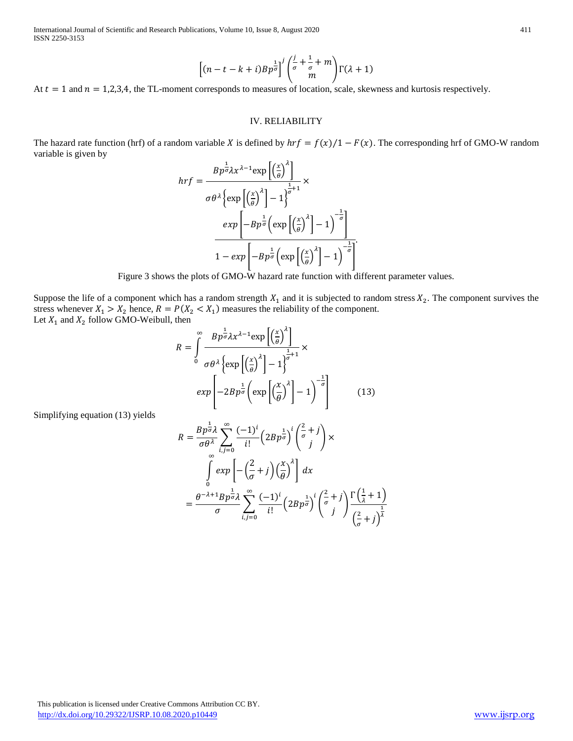International Journal of Scientific and Research Publications, Volume 10, Issue 8, August 2020 411 ISSN 2250-3153

$$
\left[ (n-t-k+i) B p^{\frac{1}{\sigma}} \right]^j \binom{\frac{j}{\sigma} + \frac{1}{\sigma} + m}{m} \Gamma(\lambda + 1)
$$

At  $t = 1$  and  $n = 1,2,3,4$ , the TL-moment corresponds to measures of location, scale, skewness and kurtosis respectively.

## IV. RELIABILITY

The hazard rate function (hrf) of a random variable X is defined by  $hrf = f(x)/1 - F(x)$ . The corresponding hrf of GMO-W random variable is given by Ē.  $2<sub>1</sub>$ 

$$
hrf = \frac{Bp^{\frac{1}{\sigma}}\lambda x^{\lambda-1} \exp\left[\left(\frac{x}{\theta}\right)^{\lambda}\right]}{\sigma \theta^{\lambda} \left\{\exp\left[\left(\frac{x}{\theta}\right)^{\lambda}\right] - 1\right\}^{\frac{1}{\sigma}+1}} \times
$$

$$
exp\left[-Bp^{\frac{1}{\sigma}}\left(\exp\left[\left(\frac{x}{\theta}\right)^{\lambda}\right] - 1\right)^{-\frac{1}{\sigma}}\right]
$$

$$
1 - exp\left[-Bp^{\frac{1}{\sigma}}\left(\exp\left[\left(\frac{x}{\theta}\right)^{\lambda}\right] - 1\right)^{-\frac{1}{\sigma}}\right]
$$

Figure 3 shows the plots of GMO-W hazard rate function with different parameter values.

Suppose the life of a component which has a random strength  $X_1$  and it is subjected to random stress  $X_2$ . The component survives the stress whenever  $X_1 > X_2$  hence,  $R = P(X_2 < X_1)$  measures the reliability of the component. Let  $X_1$  and  $X_2$  follow GMO-Weibull, then

$$
R = \int_{0}^{\infty} \frac{B p^{\frac{1}{\sigma}} \lambda x^{\lambda - 1} \exp\left[\left(\frac{x}{\theta}\right)^{\lambda}\right]}{\sigma \theta^{\lambda} \left\{\exp\left[\left(\frac{x}{\theta}\right)^{\lambda}\right] - 1\right\}^{\frac{1}{\sigma} + 1}} \times
$$

$$
exp\left[-2B p^{\frac{1}{\sigma}} \left(\exp\left[\left(\frac{x}{\theta}\right)^{\lambda}\right] - 1\right)^{-\frac{1}{\sigma}}\right] \tag{13}
$$

Simplifying equation (13) yields

$$
R = \frac{B p^{\frac{1}{\sigma}} \lambda}{\sigma \theta^{\lambda}} \sum_{i,j=0}^{\infty} \frac{(-1)^{i}}{i!} \left( 2 B p^{\frac{1}{\sigma}} \right)^{i} \left( \frac{2}{\sigma} + j \right) \times
$$
  

$$
\int_{0}^{\infty} exp \left[ -\left( \frac{2}{\sigma} + j \right) \left( \frac{x}{\theta} \right)^{\lambda} \right] dx
$$
  

$$
= \frac{\theta^{-\lambda+1} B p^{\frac{1}{\sigma}} \lambda}{\sigma} \sum_{i,j=0}^{\infty} \frac{(-1)^{i}}{i!} \left( 2 B p^{\frac{1}{\sigma}} \right)^{i} \left( \frac{2}{\sigma} + j \right) \frac{\Gamma \left( \frac{1}{\lambda} + 1 \right)}{\left( \frac{2}{\sigma} + j \right)^{\frac{1}{\lambda}}}
$$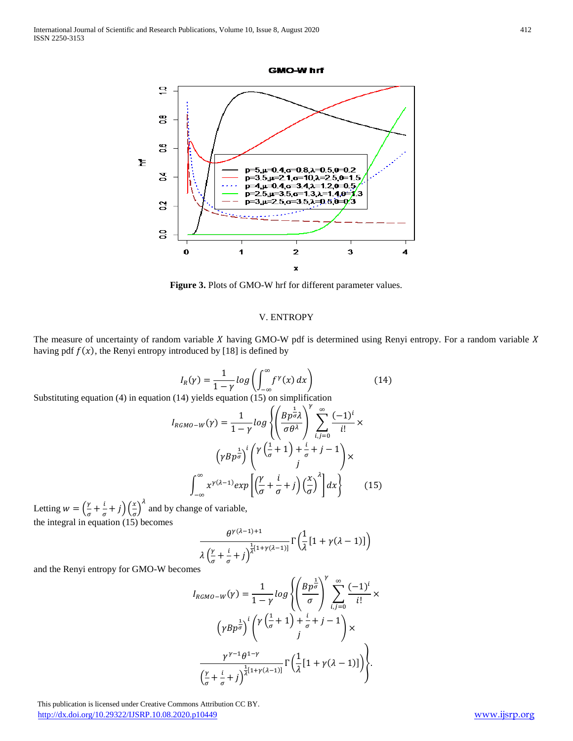

Figure 3. Plots of GMO-W hrf for different parameter values.

## V. ENTROPY

The measure of uncertainty of random variable  $X$  having GMO-W pdf is determined using Renyi entropy. For a random variable  $X$ having pdf  $f(x)$ , the Renyi entropy introduced by [18] is defined by

$$
I_R(\gamma) = \frac{1}{1 - \gamma} \log \left( \int_{-\infty}^{\infty} f^{\gamma}(x) dx \right)
$$
 (14)

Substituting equation (4) in equation (14) yields equation (15) on simplification

 $\lambda$ 

$$
I_{RGMO-W}(\gamma) = \frac{1}{1-\gamma} \log \left\{ \left( \frac{Bp^{\frac{1}{\sigma}}\lambda}{\sigma\theta^{\lambda}} \right)^{\gamma} \sum_{i,j=0}^{\infty} \frac{(-1)^{i}}{i!} \times \left( \gamma Bp^{\frac{1}{\sigma}} \right)^{i} \left( \gamma \left( \frac{1}{\sigma} + 1 \right) + \frac{i}{\sigma} + j - 1 \right) \times \int_{-\infty}^{\infty} x^{\gamma(\lambda-1)} exp\left[ \left( \frac{\gamma}{\sigma} + \frac{i}{\sigma} + j \right) \left( \frac{x}{\sigma} \right)^{\lambda} \right] dx \right\}
$$
(15)

Letting  $w = \left(\frac{y}{x}\right)$  $rac{\gamma}{\sigma}+\frac{i}{\sigma}$  $\frac{i}{\sigma} + j\bigg)\bigg(\frac{x}{\sigma}$  $\left(\frac{x}{\sigma}\right)^{\lambda}$  and by change of variable, the integral in equation  $(15)$  becomes

$$
\frac{\theta^{\gamma(\lambda-1)+1}}{\left(\frac{\gamma}{\sigma}+\frac{i}{\sigma}+j\right)^{\frac{1}{\lambda}(1+\gamma(\lambda-1))}}\Gamma\left(\frac{1}{\lambda}\left[1+\gamma(\lambda-1)\right]\right)
$$

and the Renyi entropy for GMO-W becomes

$$
I_{RGMO-W}(\gamma) = \frac{1}{1-\gamma} \log \left\{ \left( \frac{Bp^{\frac{1}{\sigma}}}{\sigma} \right)^{\gamma} \sum_{i,j=0}^{\infty} \frac{(-1)^i}{i!} \times \\ \left( \gamma Bp^{\frac{1}{\sigma}} \right)^i \left( \gamma \left( \frac{1}{\sigma} + 1 \right) + \frac{i}{\sigma} + j - 1 \right) \times \\ \frac{\gamma^{\gamma-1} \theta^{1-\gamma}}{\left( \frac{\gamma}{\sigma} + \frac{i}{\sigma} + j \right)^{\frac{1}{\lambda} [1+\gamma(\lambda-1)]} } \Gamma \left( \frac{1}{\lambda} [1 + \gamma(\lambda - 1)] \right) \right\}.
$$

 This publication is licensed under Creative Commons Attribution CC BY. http://dx.doi.org/10.29322/IJSRP.10.08.2020.p10449 www.ijsrp.org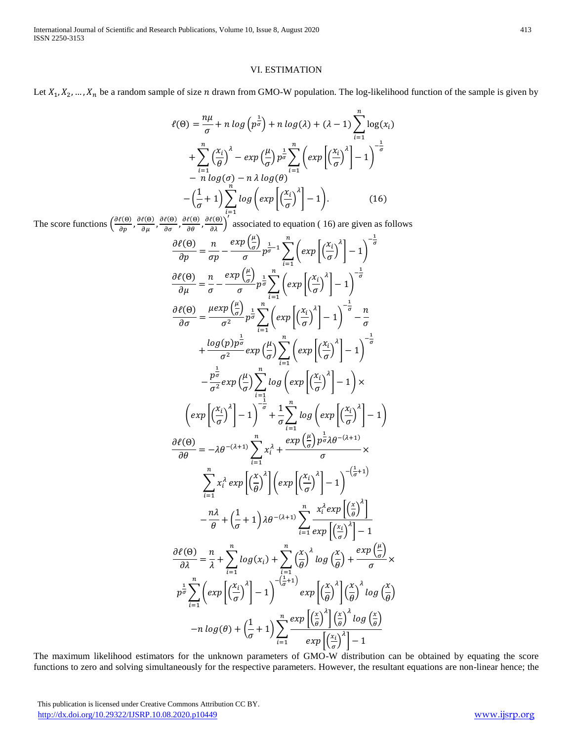## VI. ESTIMATION

Let  $X_1, X_2, ..., X_n$  be a random sample of size n drawn from GMO-W population. The log-likelihood function of the sample is given by

$$
\ell(\Theta) = \frac{n\mu}{\sigma} + n \log \left( p^{\frac{1}{\sigma}} \right) + n \log(\lambda) + (\lambda - 1) \sum_{i=1}^{n} \log(x_i)
$$

$$
+ \sum_{i=1}^{n} \left( \frac{x_i}{\theta} \right)^{\lambda} - \exp \left( \frac{\mu}{\sigma} \right) p^{\frac{1}{\sigma}} \sum_{i=1}^{n} \left( \exp \left[ \left( \frac{x_i}{\sigma} \right)^{\lambda} \right] - 1 \right)^{-\frac{1}{\sigma}}
$$

$$
- n \log(\sigma) - n \lambda \log(\theta)
$$

$$
- \left( \frac{1}{\sigma} + 1 \right) \sum_{i=1}^{n} \log \left( \exp \left[ \left( \frac{x_i}{\sigma} \right)^{\lambda} \right] - 1 \right). \tag{16}
$$

The score functions  $\left(\frac{\partial \ell(\Theta)}{\partial x}\right)$ д  $\partial \ell(\Theta)$ д  $\partial \ell(\Theta)$ д  $\partial \ell(\Theta)$ д  $\frac{\partial l(\Theta)}{\partial \lambda}$  associated to equation ( 16) are given as follows

$$
\frac{\partial \ell(\Theta)}{\partial p} = \frac{n}{\sigma p} - \frac{\exp(\frac{\mu}{\sigma})}{\sigma} p^{\frac{1}{\sigma} - 1} \sum_{i=1}^{n} \left( \exp\left[\left(\frac{x_i}{\sigma}\right)^{\lambda}\right] - 1 \right)^{\frac{1}{\sigma}}
$$
\n
$$
\frac{\partial \ell(\Theta)}{\partial \mu} = \frac{n}{\sigma} - \frac{\exp(\frac{\mu}{\sigma})}{\sigma} p^{\frac{1}{\sigma}} \sum_{i=1}^{n} \left( \exp\left[\left(\frac{x_i}{\sigma}\right)^{\lambda}\right] - 1 \right)^{\frac{1}{\sigma}}
$$
\n
$$
\frac{\partial \ell(\Theta)}{\partial \sigma} = \frac{\mu \exp(\frac{\mu}{\sigma})}{\sigma^2} p^{\frac{1}{\sigma}} \sum_{i=1}^{n} \left( \exp\left[\left(\frac{x_i}{\sigma}\right)^{\lambda}\right] - 1 \right)^{\frac{1}{\sigma}} - \frac{n}{\sigma}
$$
\n
$$
+ \frac{\log(p)p^{\frac{1}{\sigma}}}{\sigma^2} \exp\left(\frac{\mu}{\sigma}\right) \sum_{i=1}^{n} \left( \exp\left[\left(\frac{x_i}{\sigma}\right)^{\lambda}\right] - 1 \right)^{\frac{1}{\sigma}}
$$
\n
$$
- \frac{p^{\frac{1}{\sigma}}}{\sigma^2} \exp\left(\frac{\mu}{\sigma}\right) \sum_{i=1}^{n} \log\left(\exp\left[\left(\frac{x_i}{\sigma}\right)^{\lambda}\right] - 1 \right) \times
$$
\n
$$
\left( \exp\left[\left(\frac{x_i}{\sigma}\right)^{\lambda}\right] - 1 \right)^{\frac{1}{\sigma}} + \frac{1}{\sigma} \sum_{i=1}^{n} \log\left(\exp\left[\left(\frac{x_i}{\sigma}\right)^{\lambda}\right] - 1 \right)
$$
\n
$$
\frac{\partial \ell(\Theta)}{\partial \theta} = -\lambda \theta^{-(\lambda+1)} \sum_{i=1}^{n} x_i^{\lambda} + \frac{\exp(\frac{\mu}{\sigma}) p^{\frac{1}{\sigma}} \lambda \theta^{-(\lambda+1)}}{\sigma} \times
$$
\n
$$
\sum_{i=1}^{n} x_i^{\lambda} \exp\left[\left(\frac{x_i}{\theta}\right)^{\lambda} \right] \left( \exp\left[\left(\frac{x_i}{\sigma}\right)^{\lambda}\right] - 1 \right)^{-(
$$

The maximum likelihood estimators for the unknown parameters of GMO-W distribution can be obtained by equating the score functions to zero and solving simultaneously for the respective parameters. However, the resultant equations are non-linear hence; the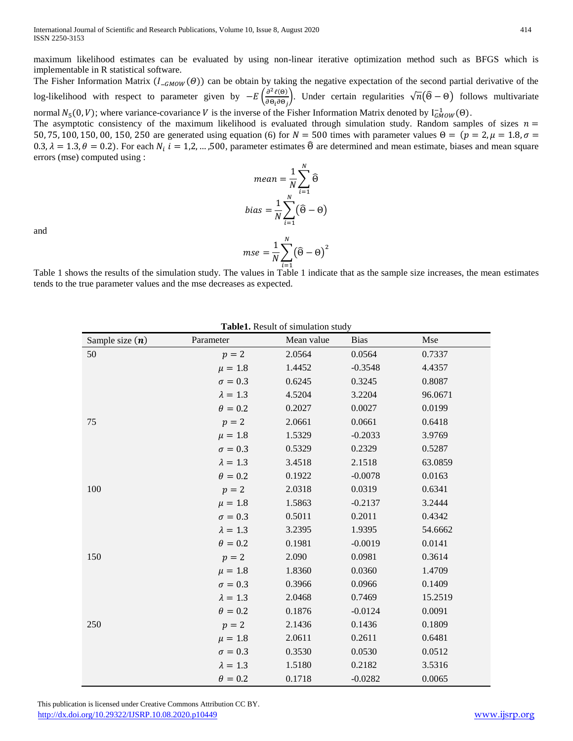maximum likelihood estimates can be evaluated by using non-linear iterative optimization method such as BFGS which is implementable in R statistical software.

The Fisher Information Matrix  $(I_{-GMOW}(\theta))$  can be obtain by taking the negative expectation of the second partial derivative of the log-likelihood with respect to parameter given by  $-E\left(\frac{\partial^2 \ell(\Theta)}{\partial \Theta} \right)$  $\frac{\partial^2 \ell(\Theta)}{\partial \Theta_i \partial \Theta_j}$ . Under certain regularities  $\sqrt{n}(\widehat{\Theta} - \Theta)$  follows multivariate normal  $N_5(0, V)$ ; where variance-covariance V is the inverse of the Fisher Information Matrix denoted by  $I_{GMOW}^{-1}(0)$ .

The asymptotic consistency of the maximum likelihood is evaluated through simulation study. Random samples of sizes  $n =$ 50, 75, 100, 150, 00, 150, 250 are generated using equation (6) for  $N = 500$  times with parameter values  $\Theta = (p = 2, \mu = 1.8, \sigma = 1.0)$  $(0.3, \lambda = 1.3, \theta = 0.2)$ . For each  $N_i$   $i = 1, 2, ..., 500$ , parameter estimates  $\hat{\Theta}$  are determined and mean estimate, biases and mean square errors (mse) computed using :

$$
mean = \frac{1}{N} \sum_{i=1}^{N} \widehat{\Theta}
$$

$$
bias = \frac{1}{N} \sum_{i=1}^{N} (\widehat{\Theta} - \Theta)
$$

$$
mse = \frac{1}{N} \sum_{i=1}^{N} (\widehat{\Theta} - \Theta)^2
$$

and

Table 1 shows the results of the simulation study. The values in Table 1 indicate that as the sample size increases, the mean estimates tends to the true parameter values and the mse decreases as expected.

| Table1. Result of simulation study |                 |            |             |         |  |  |
|------------------------------------|-----------------|------------|-------------|---------|--|--|
| Sample size $(n)$                  | Parameter       | Mean value | <b>Bias</b> | Mse     |  |  |
| 50                                 | $p=2$           | 2.0564     | 0.0564      | 0.7337  |  |  |
|                                    | $\mu = 1.8$     | 1.4452     | $-0.3548$   | 4.4357  |  |  |
|                                    | $\sigma = 0.3$  | 0.6245     | 0.3245      | 0.8087  |  |  |
|                                    | $\lambda = 1.3$ | 4.5204     | 3.2204      | 96.0671 |  |  |
|                                    | $\theta = 0.2$  | 0.2027     | 0.0027      | 0.0199  |  |  |
| 75                                 | $p=2$           | 2.0661     | 0.0661      | 0.6418  |  |  |
|                                    | $\mu = 1.8$     | 1.5329     | $-0.2033$   | 3.9769  |  |  |
|                                    | $\sigma = 0.3$  | 0.5329     | 0.2329      | 0.5287  |  |  |
|                                    | $\lambda = 1.3$ | 3.4518     | 2.1518      | 63.0859 |  |  |
|                                    | $\theta = 0.2$  | 0.1922     | $-0.0078$   | 0.0163  |  |  |
| 100                                | $p=2$           | 2.0318     | 0.0319      | 0.6341  |  |  |
|                                    | $\mu = 1.8$     | 1.5863     | $-0.2137$   | 3.2444  |  |  |
|                                    | $\sigma = 0.3$  | 0.5011     | 0.2011      | 0.4342  |  |  |
|                                    | $\lambda = 1.3$ | 3.2395     | 1.9395      | 54.6662 |  |  |
|                                    | $\theta = 0.2$  | 0.1981     | $-0.0019$   | 0.0141  |  |  |
| 150                                | $p = 2$         | 2.090      | 0.0981      | 0.3614  |  |  |
|                                    | $\mu = 1.8$     | 1.8360     | 0.0360      | 1.4709  |  |  |
|                                    | $\sigma = 0.3$  | 0.3966     | 0.0966      | 0.1409  |  |  |
|                                    | $\lambda = 1.3$ | 2.0468     | 0.7469      | 15.2519 |  |  |
|                                    | $\theta = 0.2$  | 0.1876     | $-0.0124$   | 0.0091  |  |  |
| 250                                | $p=2$           | 2.1436     | 0.1436      | 0.1809  |  |  |
|                                    | $\mu = 1.8$     | 2.0611     | 0.2611      | 0.6481  |  |  |
|                                    | $\sigma = 0.3$  | 0.3530     | 0.0530      | 0.0512  |  |  |
|                                    | $\lambda = 1.3$ | 1.5180     | 0.2182      | 3.5316  |  |  |
|                                    | $\theta = 0.2$  | 0.1718     | $-0.0282$   | 0.0065  |  |  |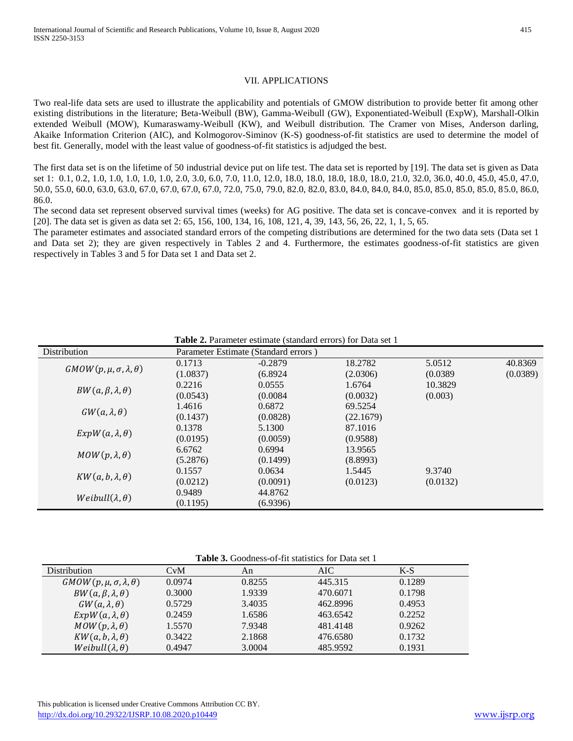### VII. APPLICATIONS

Two real-life data sets are used to illustrate the applicability and potentials of GMOW distribution to provide better fit among other existing distributions in the literature; Beta-Weibull (BW), Gamma-Weibull (GW), Exponentiated-Weibull (ExpW), Marshall-Olkin extended Weibull (MOW), Kumaraswamy-Weibull (KW), and Weibull distribution. The Cramer von Mises, Anderson darling, Akaike Information Criterion (AIC), and Kolmogorov-Siminov (K-S) goodness-of-fit statistics are used to determine the model of best fit. Generally, model with the least value of goodness-of-fit statistics is adjudged the best.

The first data set is on the lifetime of 50 industrial device put on life test. The data set is reported by [19]. The data set is given as Data set 1: 0.1, 0.2, 1.0, 1.0, 1.0, 1.0, 1.0, 2.0, 3.0, 6.0, 7.0, 11.0, 12.0, 18.0, 18.0, 18.0, 18.0, 18.0, 21.0, 32.0, 36.0, 40 .0, 45.0, 45.0, 47.0, 50.0, 55.0, 60.0, 63.0, 63.0, 67.0, 67.0, 67.0, 67.0, 72.0, 75.0, 79.0, 82.0, 82.0, 83.0, 84.0, 84.0, 84.0, 85.0, 85.0, 85.0, 85.0, 85.0, 86.0, 86.0.

The second data set represent observed survival times (weeks) for AG positive. The data set is concave-convex and it is reported by [20]. The data set is given as data set 2: 65, 156, 100, 134, 16, 108, 121, 4, 39, 143, 56, 26, 22, 1, 1, 5, 65.

The parameter estimates and associated standard errors of the competing distributions are determined for the two data sets (Data set 1 and Data set 2); they are given respectively in Tables 2 and 4. Furthermore, the estimates goodness-of-fit statistics are given respectively in Tables 3 and 5 for Data set 1 and Data set 2.

| <b>Table 2.</b> Parameter estimate (standard errors) for Data set 1 |          |                                      |           |          |          |  |  |
|---------------------------------------------------------------------|----------|--------------------------------------|-----------|----------|----------|--|--|
| Distribution                                                        |          | Parameter Estimate (Standard errors) |           |          |          |  |  |
|                                                                     | 0.1713   | $-0.2879$                            | 18.2782   | 5.0512   | 40.8369  |  |  |
| $GMOW(p,\mu,\sigma,\lambda,\theta)$                                 | (1.0837) | (6.8924)                             | (2.0306)  | (0.0389) | (0.0389) |  |  |
| $BW(a, \beta, \lambda, \theta)$                                     | 0.2216   | 0.0555                               | 1.6764    | 10.3829  |          |  |  |
|                                                                     | (0.0543) | (0.0084)                             | (0.0032)  | (0.003)  |          |  |  |
| $GW(a, \lambda, \theta)$                                            | 1.4616   | 0.6872                               | 69.5254   |          |          |  |  |
|                                                                     | (0.1437) | (0.0828)                             | (22.1679) |          |          |  |  |
| $ExpW(a, \lambda, \theta)$                                          | 0.1378   | 5.1300                               | 87.1016   |          |          |  |  |
|                                                                     | (0.0195) | (0.0059)                             | (0.9588)  |          |          |  |  |
| $MOW(p, \lambda, \theta)$                                           | 6.6762   | 0.6994                               | 13.9565   |          |          |  |  |
|                                                                     | (5.2876) | (0.1499)                             | (8.8993)  |          |          |  |  |
| $KW(a,b,\lambda,\theta)$                                            | 0.1557   | 0.0634                               | 1.5445    | 9.3740   |          |  |  |
|                                                                     | (0.0212) | (0.0091)                             | (0.0123)  | (0.0132) |          |  |  |
| $Weibull(\lambda, \theta)$                                          | 0.9489   | 44.8762                              |           |          |          |  |  |
|                                                                     | (0.1195) | (6.9396)                             |           |          |          |  |  |

**Table 2.** Parameter estimate (standard errors) for Data set 1

**Table 3.** Goodness-of-fit statistics for Data set 1

| Distribution                        | CvM    | An     | AIC-     | $K-S$  |
|-------------------------------------|--------|--------|----------|--------|
| $GMOW(p,\mu,\sigma,\lambda,\theta)$ | 0.0974 | 0.8255 | 445.315  | 0.1289 |
| $BW(a, \beta, \lambda, \theta)$     | 0.3000 | 1.9339 | 470.6071 | 0.1798 |
| $GW(a, \lambda, \theta)$            | 0.5729 | 3.4035 | 462.8996 | 0.4953 |
| $ExpW(a, \lambda, \theta)$          | 0.2459 | 1.6586 | 463.6542 | 0.2252 |
| $MOW(p, \lambda, \theta)$           | 1.5570 | 7.9348 | 481.4148 | 0.9262 |
| $KW(a,b,\lambda,\theta)$            | 0.3422 | 2.1868 | 476.6580 | 0.1732 |
| $Weibull(\lambda, \theta)$          | 0.4947 | 3.0004 | 485.9592 | 0.1931 |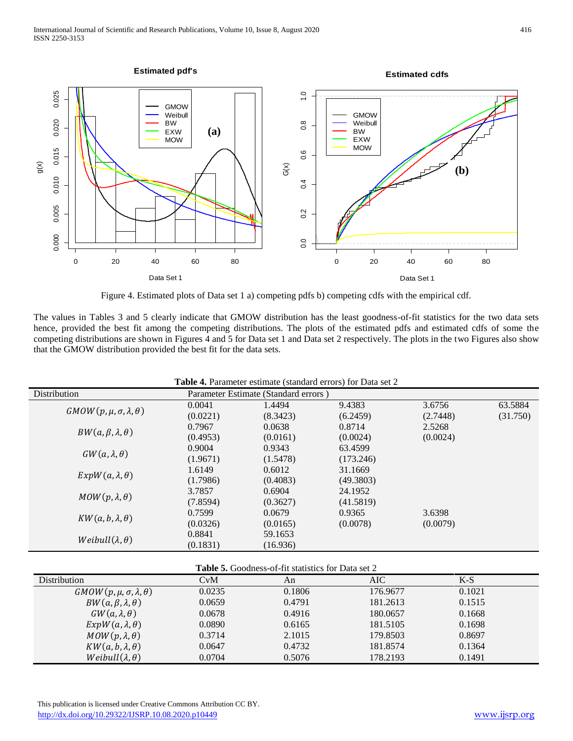

Figure 4. Estimated plots of Data set 1 a) competing pdfs b) competing cdfs with the empirical cdf.

The values in Tables 3 and 5 clearly indicate that GMOW distribution has the least goodness-of-fit statistics for the two data sets hence, provided the best fit among the competing distributions. The plots of the estimated pdfs and estimated cdfs of some the competing distributions are shown in Figures 4 and 5 for Data set 1 and Data set 2 respectively. The plots in the two Figures also show that the GMOW distribution provided the best fit for the data sets.

| Table 4. Parameter estimate (standard errors) for Data set 2 |  |  |  |  |
|--------------------------------------------------------------|--|--|--|--|
|--------------------------------------------------------------|--|--|--|--|

| Distribution                            |          | Parameter Estimate (Standard errors) |           |          |          |
|-----------------------------------------|----------|--------------------------------------|-----------|----------|----------|
| $GMOW(p, \mu, \sigma, \lambda, \theta)$ | 0.0041   | 1.4494                               | 9.4383    | 3.6756   | 63.5884  |
|                                         | (0.0221) | (8.3423)                             | (6.2459)  | (2.7448) | (31.750) |
|                                         | 0.7967   | 0.0638                               | 0.8714    | 2.5268   |          |
| $BW(a, \beta, \lambda, \theta)$         | (0.4953) | (0.0161)                             | (0.0024)  | (0.0024) |          |
|                                         | 0.9004   | 0.9343                               | 63.4599   |          |          |
| $GW(a, \lambda, \theta)$                | (1.9671) | (1.5478)                             | (173.246) |          |          |
|                                         | 1.6149   | 0.6012                               | 31.1669   |          |          |
| $ExpW(a, \lambda, \theta)$              | (1.7986) | (0.4083)                             | (49.3803) |          |          |
| $MOW(p, \lambda, \theta)$               | 3.7857   | 0.6904                               | 24.1952   |          |          |
|                                         | (7.8594) | (0.3627)                             | (41.5819) |          |          |
| $KW(a,b,\lambda,\theta)$                | 0.7599   | 0.0679                               | 0.9365    | 3.6398   |          |
|                                         | (0.0326) | (0.0165)                             | (0.0078)  | (0.0079) |          |
| $Weibull(\lambda, \theta)$              | 0.8841   | 59.1653                              |           |          |          |
|                                         | (0.1831) | (16.936)                             |           |          |          |

## **Table 5.** Goodness-of-fit statistics for Data set 2

| <b>Distribution</b>                     | CvM    | An     | AIC.     | $K-S$  |  |
|-----------------------------------------|--------|--------|----------|--------|--|
| $GMOW(p, \mu, \sigma, \lambda, \theta)$ | 0.0235 | 0.1806 | 176.9677 | 0.1021 |  |
| $BW(a, \beta, \lambda, \theta)$         | 0.0659 | 0.4791 | 181.2613 | 0.1515 |  |
| $GW(a, \lambda, \theta)$                | 0.0678 | 0.4916 | 180.0657 | 0.1668 |  |
| $ExpW(a, \lambda, \theta)$              | 0.0890 | 0.6165 | 181.5105 | 0.1698 |  |
| $MOW(p, \lambda, \theta)$               | 0.3714 | 2.1015 | 179.8503 | 0.8697 |  |
| $KW(a,b,\lambda,\theta)$                | 0.0647 | 0.4732 | 181.8574 | 0.1364 |  |
| $Weibull(\lambda, \theta)$              | 0.0704 | 0.5076 | 178.2193 | 0.1491 |  |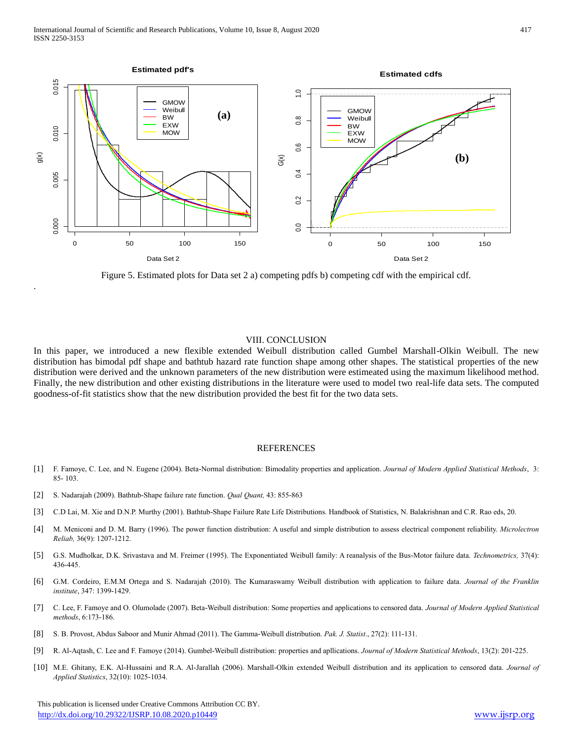

Figure 5. Estimated plots for Data set 2 a) competing pdfs b) competing cdf with the empirical cdf.

## VIII. CONCLUSION

In this paper, we introduced a new flexible extended Weibull distribution called Gumbel Marshall-Olkin Weibull. The new distribution has bimodal pdf shape and bathtub hazard rate function shape among other shapes. The statistical properties of the new distribution were derived and the unknown parameters of the new distribution were estimeated using the maximum likelihood method. Finally, the new distribution and other existing distributions in the literature were used to model two real-life data sets. The computed goodness-of-fit statistics show that the new distribution provided the best fit for the two data sets.

## **REFERENCES**

- [1] F. Famoye, C. Lee, and N. Eugene (2004). Beta-Normal distribution: Bimodality properties and application. *Journal of Modern Applied Statistical Methods*, 3: 85- 103.
- [2] S. Nadarajah (2009). Bathtub-Shape failure rate function. *Qual Quant,* 43: 855-863

.

- [3] C.D Lai, M. Xie and D.N.P. Murthy (2001). Bathtub-Shape Failure Rate Life Distributions. Handbook of Statistics, N. Balakrishnan and C.R. Rao eds, 20.
- [4] M. Meniconi and D. M. Barry (1996). The power function distribution: A useful and simple distribution to assess electrical component reliability. *Microlectron Reliab,* 36(9): 1207-1212.
- [5] G.S. Mudholkar, D.K. Srivastava and M. Freimer (1995). The Exponentiated Weibull family: A reanalysis of the Bus-Motor failure data. *Technometrics,* 37(4): 436-445.
- [6] G.M. Cordeiro, E.M.M Ortega and S. Nadarajah (2010). The Kumaraswamy Weibull distribution with application to failure data. *Journal of the Franklin institute*, 347: 1399-1429.
- [7] C. Lee, F. Famoye and O. Olumolade (2007). Beta-Weibull distribution: Some properties and applications to censored data. *Journal of Modern Applied Statistical methods*, 6:173-186.
- [8] S. B. Provost, Abdus Saboor and Munir Ahmad (2011). The Gamma-Weibull distribution. *Pak. J. Statist*., 27(2): 111-131.
- [9] R. Al-Aqtash, C. Lee and F. Famoye (2014). Gumbel-Weibull distribution: properties and apllications. *Journal of Modern Statistical Methods*, 13(2): 201-225.
- [10] M.E. Ghitany, E.K. Al-Hussaini and R.A. Al-Jarallah (2006). Marshall-Olkin extended Weibull distribution and its application to censored data. *Journal of*